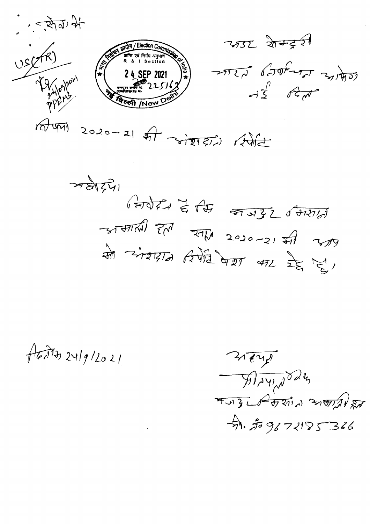

 $77577)$  $\sqrt{2071}$   $\approx$   $\sqrt{47}$   $\approx$   $\sqrt{372}$   $\sqrt{471}$  $-317760$   $\frac{1}{200}$   $\frac{1}{200}$   $\frac{1}{2020}$   $\frac{1}{20}$   $\frac{1}{200}$ मौ अंश्रात दिर्णेते पेश भर रेट्स हु।

 $A$ 

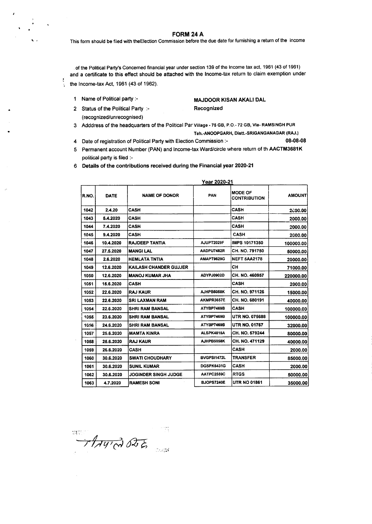**FORM24A**

This form should be filed with the Election Commission before the due date for furnishing a return of the income

of the Political Party's Concerned financial year under section 139 of the Income tax act. 1961 (43 of 1961) and a certificate to this effect should be attached with the Income-tax return to claim exemption under the Income-tax Act, 1961 (43 of 1962).

1 Name of Political party :-

2 Status of the Political Party :-(recognized/unrecognised)

 $\ddot{\phantom{1}}$ 

ł ÷,

#### MAJDOOR KISAN AKALI DAL Recognized

- 3 Adddress of the headquarters of the Political Par Village 75 GB, P.O.- 72 GB, Via- RAMSINGH PUR Teh.-ANOOPGARH, Distt.-SRIGANGANAGAR (RAJ.)
- 4 Date of registration of Political Party with Election Commission :- 08-08-08
- 5 Permanent account Number (PAN) and Income-tax Ward/circle where return of th AACTM3681K political party is filed :-
- 6 Details of the contributions received during the Financial year 2020-21

|       | TUAT ZUZU-Z I |                        |                   |                                       |               |  |  |  |
|-------|---------------|------------------------|-------------------|---------------------------------------|---------------|--|--|--|
| R.NO. | <b>DATE</b>   | <b>NAME OF DONOR</b>   | PAN               | <b>MODE OF</b><br><b>CONTRIBUTION</b> | <b>AMOUNT</b> |  |  |  |
| 1042  | 2.4.20        | <b>CASH</b>            |                   | <b>CASH</b>                           | 2000.00       |  |  |  |
| 1043  | 5.4.2020      | <b>CASH</b>            |                   | <b>CASH</b>                           | 2000.00       |  |  |  |
| 1044  | 7.4.2020      | CASH                   |                   | <b>CASH</b>                           | 2000.00       |  |  |  |
| 1045  | 9.4.2020      | <b>CASH</b>            |                   | <b>CASH</b>                           | 2000.00       |  |  |  |
| 1046  | 10.4.2020     | <b>RAJDEEP TANTIA</b>  | AJUPT2029F        | IMPS 10171350                         | 100000.00     |  |  |  |
| 1047  | 27.5.2020     | <b>MANGI LAL</b>       | AADPU7482R        | CH. NO. 791750                        | 50000.00      |  |  |  |
| 1048  | 2.6.2020      | <b>HEMLATA TNTIA</b>   | AMAPT9629G        | NEFT 5AA2178                          | 20000.00      |  |  |  |
| 1049  | 12.6.2020     | KAILASH CHANDER GUJJER |                   | CН                                    | 71000.00      |  |  |  |
| 1050  | 12.6.2020     | <b>MANOJ KUMAR JHA</b> | ADYPJ0902D        | CH. NO. 460957                        | 220000.00     |  |  |  |
| 1051  | 15.6.2020     | <b>CASH</b>            |                   | <b>CASH</b>                           | 2000.00       |  |  |  |
| 1052  | 22.6.2020     | <b>RAJ KAUR</b>        | AJHPB5058K        | CH. NO. 971126                        | 15000.00      |  |  |  |
| 1053  | 22.6.2020     | <b>SRI LAXMAN RAM</b>  | AKMPR3657E        | CH. NO. 680191                        | 40000.00      |  |  |  |
| 1054  | 22.6.2020     | <b>SHRI RAM BANSAL</b> | ATYBP7469B        | CASH                                  | 100000.00     |  |  |  |
| 1055  | 23.6.2020     | <b>SHRI RAM BANSAL</b> | ATYBP7469B        | <b>UTR NO. 075688</b>                 | 100000.00     |  |  |  |
| 1056  | 24.6.2020     | <b>SHRI RAM BANSAL</b> | ATYBP7469B        | <b>UTR NO. 01767</b>                  | 32000.00      |  |  |  |
| 1057  | 25.6.2020     | <b>MAMTA KINRA</b>     | ALSPK4815A        | CH. NO. 579244                        | 80000.00      |  |  |  |
| 1058  | 25.6.2020     | <b>RAJ KAUR</b>        | AJHPB5058K        | CH. NO. 471129                        | 40000.00      |  |  |  |
| 1059  | 26.6.2020     | <b>CASH</b>            |                   | <b>CASH</b>                           | 2000.00       |  |  |  |
| 1060  | 30.6.2020     | <b>SWATI CHOUDHARY</b> | BVGPSI1472L       | <b>TRANSFER</b>                       | 85000.00      |  |  |  |
| 1061  | 30.6.2020     | <b>SUNIL KUMAR</b>     | <b>DGSPK6431G</b> | <b>CASH</b>                           | 2000.00       |  |  |  |
| 1062  | 30.6.2020     | JOGINDER SINGH JUDGE   | AATPC2559C        | <b>RTGS</b>                           | 50000.00      |  |  |  |
| 1063  | 4.7.2020      | <b>RAMESH SONI</b>     | <b>BJOPS7240E</b> | <b>UTR NO 01861</b>                   | 35000.00      |  |  |  |
|       |               |                        |                   |                                       |               |  |  |  |

THAY' A OTE

Year 2020-21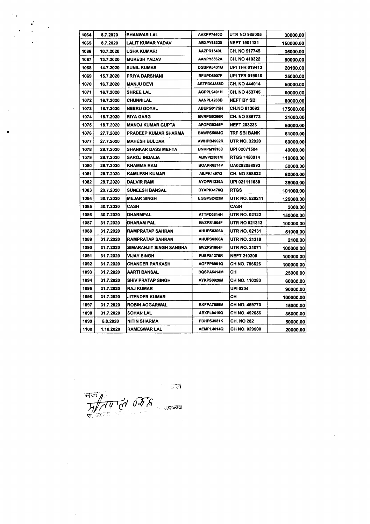| 1064 | 8.7.2020  | <b>BHANWAR LAL</b>        | AHXPP7440D         | <b>UTR NO 985005</b>  | 30000.00  |
|------|-----------|---------------------------|--------------------|-----------------------|-----------|
| 1065 | 8.7.2020  | LALIT KUMAR YADAV         | ABXPY68320         | <b>NEFT 1901181</b>   | 150000.00 |
| 1066 | 10.7.2020 | <b>USHA KUMARI</b>        | AAZPR1640L         | CH. NO 517745         | 35000.00  |
| 1067 | 13.7.2020 | <b>MUKESH YADAV</b>       | AANPY3562A         | CH. NO 410322         | 90000.00  |
| 1068 | 14.7.2020 | <b>SUNIL KUMAR</b>        | DGSPK6431G         | <b>UPI TFR 019413</b> | 20100.00  |
| 1069 | 15.7.2020 | PRIYA DARSHANI            | BFUPD6907F         | <b>UPI TFR 019616</b> | 25000.00  |
| 1070 | 16.7.2020 | <b>MANJU DEVI</b>         | <b>ASTPD04855D</b> | CH. NO 444014         | 50000.00  |
| 1071 | 16.7.2020 | <b>SHREE LAL</b>          | AGPPL9491H         | CH. NO 453745         | 60000.00  |
| 1072 | 16.7.2020 | CHUNNILAL                 | AANPL4263B         | <b>NEFT BY SBI</b>    | 80000.00  |
| 1073 | 18.7.2020 | <b>NEERU GOYAL</b>        | ABEPG0175H         | <b>CH.NO 813092</b>   | 175000.00 |
| 1074 | 18.7.2020 | <b>RIYA GARG</b>          | BVRPG5266R         | CH. NO 886773         | 21000.00  |
| 1075 | 18.7.2020 | <b>MANOJ KUMAR GUPTA</b>  | AFOPG0345P         | <b>NEFT 203233</b>    | 50000.00  |
| 1076 | 27.7.2020 | PRADEEP KUMAR SHARMA      | <b>BAWPS5084G</b>  | TRF SBI BANK          | 61000.00  |
| 1077 | 27.7.2020 | <b>MAHESH BULDAK</b>      | AWHPB4992R         | UTR NO. 32020         | 60000.00  |
| 1078 | 28.7.2020 | <b>SHANKAR DASS MEHTA</b> | <b>BNKPM1518D</b>  | UPI 02071504          | 40000.00  |
| 1079 | 28.7.2020 | <b>SAROJ INDALIA</b>      | ABWPI2361M         | <b>RTGS 7450914</b>   | 110000.00 |
| 1080 | 29.7.2020 | KHAMMA RAM                | BOAPR6574P         | <b>UA0292058993</b>   | 50000.00  |
| 1081 | 29.7.2020 | <b>KAMLESH KUMAR</b>      | <b>AILPK1497Q</b>  | CH. NO 898522         | 60000.00  |
| 1082 | 29.7.2020 | <b>DALVIR RAM</b>         | AYOPR1239A         | UPI 021111639         | 35000.00  |
| 1083 | 29.7.2020 | <b>SUNEESH BANSAL</b>     | BYAPK4170Q         | <b>RTGS</b>           | 101000.00 |
| 1084 | 30.7.2020 | <b>MEJAR SINGH</b>        | EGGPS2423M         | <b>UTR NO. 520211</b> | 125000.00 |
| 1085 | 30.7.2020 | CASH                      |                    | CASH                  | 2000.00   |
| 1086 | 30.7.2020 | DHARMPAL                  | ATTPD3814H         | <b>UTR NO. 02122</b>  | 150000.00 |
| 1087 | 31.7.2020 | DHARAM PAL                | BVZPS1804F         | <b>UTR NO 021313</b>  | 100000.00 |
| 1088 | 31.7.2020 | RAMPRATAP SAHRAN          | AHUPS0306A         | UTR NO. 02131         | 51000.00  |
| 1089 | 31.7.2020 | RAMPRATAP SAHRAN          | AHUPS6306A         | UTR NO. 21319         | 2100.00   |
| 1090 | 31.7.2020 | SIMARANJIT SINGH SANGHA   | BVZPS1804F         | <b>UTR NO. 31071</b>  | 100000.00 |
| 1091 | 31.7.2020 | VIJAY SINGH               | <b>FUEPS1276R</b>  | <b>NEFT 210200</b>    | 100000.00 |
| 1092 | 31.7.2020 | CHANDER PARKASH           | AGFPP6961Q         | CH NO. 796626         | 100000.00 |
| 1093 | 31.7.2020 | AARTI BANSAL              | <b>BQSPA5414M</b>  | CН                    | 25000.00  |
| 1094 | 31.7.2020 | SHIV PRATAP SINGH         | AYKPS0920M         | CH NO. 110283         | 60000.00  |
| 1095 | 31.7.2020 | RAJ KUMAR                 |                    | UPI 0204              | 90000.00  |
| 1096 | 31.7.2020 | JITENDER KUMAR            |                    | CH.                   | 100000.00 |
| 1097 | 31.7.2020 | ROBIN AGGARWAL            | BKFPA7659M         | CH NO. 459770         | 15000.00  |
| 1098 | 31.7.2020 | SOHAN LAL                 | ABXPL9419Q         | CH NO. 492656         | 36000.00  |
| 1099 | 5.8.2020  | NITIN SHARMA              | FDHPS3981K         | CH. NO 282            | 50000.00  |
| 1100 | 1.10.2020 | <b>RAMESWAR LAL</b>       | AEMPL4014Q         | CH NO. 029500         | 20000.00  |

 $\frac{1}{\sqrt{1-\frac{1}{2}}\sqrt{1-\frac{1}{2}}\sqrt{1-\frac{1}{2}}\sqrt{1-\frac{1}{2}}\sqrt{1-\frac{1}{2}}\sqrt{1-\frac{1}{2}}\sqrt{1-\frac{1}{2}}\sqrt{1-\frac{1}{2}}\sqrt{1-\frac{1}{2}}\sqrt{1-\frac{1}{2}}\sqrt{1-\frac{1}{2}}\sqrt{1-\frac{1}{2}}\sqrt{1-\frac{1}{2}}\sqrt{1-\frac{1}{2}}\sqrt{1-\frac{1}{2}}\sqrt{1-\frac{1}{2}}\sqrt{1-\frac{1}{2}}\sqrt{1-\frac{1}{2}}\sqrt{1-\frac{1}{2}}\sqrt{1-\frac$ 

 $\mathcal{A}^{\mathcal{A}}$ 

 $\hat{\mathcal{A}}$ 

 $\hat{\mathcal{A}}$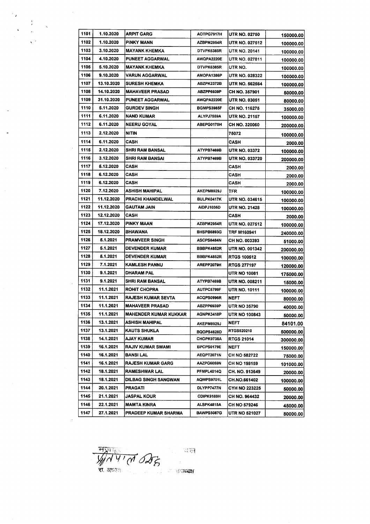| 1101 | 1.10.2020  | <b>ARPIT GARG</b>            | AOTPG7917H        | <b>UTR NO. 02750</b>  | 150000.00 |
|------|------------|------------------------------|-------------------|-----------------------|-----------|
| 1102 | 1.10.2020  | PINKY MANN                   | AZBPM2954R        | <b>UTR NO. 027512</b> | 100000.00 |
| 1103 | 3.10.2020  | <b>MAYANK KHEMKA</b>         | DTVPK6385R        | <b>UTR NO. 20141</b>  | 100000.00 |
| 1104 | 4.10.2020  | <b>PUNEET AGGARWAL</b>       | AWQPA2220E        | <b>UTR NO. 027811</b> | 100000.00 |
| 1105 | 5.10.2020  | <b>MAYANK KHEMKA</b>         | DTVPK6385R        | UTR NO.               | 100000.00 |
| 1106 | 9.10.2020  | <b>VARUN AGGARWAL</b>        | AMOPA1386P        | UTR NO. 028322        | 100000.00 |
| 1107 | 13.10.2020 | <b>SURESH KHEMKA</b>         | ABZPK2372B        | <b>UTR NO. 562564</b> | 100000.00 |
| 1108 | 14.10.2020 | <b>MAHAVEER PRASAD</b>       | ABZPP6939P        | CH NO. 357901         | 50000.00  |
| 1109 | 31.10.2020 | <b>PUNEET AGGARWAL</b>       | AWQPA2220E        | UTR NO. 03051         | 80000.00  |
| 1110 | 5.11.2020  | <b>GURDEV SINGH</b>          | BGMPS3985F        | CH NO. 116275         | 35000.00  |
| 1111 | 6.11.2020  | NAND KUMAR                   | ALYPJ7559A        | <b>UTR NO. 21157</b>  | 100000.00 |
| 1112 | 6.11.2020  | <b>NEERU GOYAL</b>           | ABEPG0175H        | <b>CH NO. 320060</b>  | 200000.00 |
| 1113 | 2.12.2020  | <b>NITIN</b>                 |                   | 75072                 | 100000.00 |
| 1114 | 6.11.2020  | CASH                         |                   | CASH                  | 2000.00   |
| 1115 | 2.12.2020  | SHRI RAM BANSAL              | ATYPB7469B        | <b>UTR NO. 03372</b>  | 100000.00 |
| 1116 | 3.12.2020  | <b>SHRI RAM BANSAI</b>       | ATYPB7469B        | UTR NO. 033720        | 200000.00 |
| 1117 | 5.12.2020  | CASH                         |                   | CASH                  | 2000.00   |
| 1118 | 6.12.2020  | CASH                         |                   | CASH                  | 2000.00   |
| 1119 | 6.12.2020  | CASH                         |                   | CASH                  | 2000.00   |
| 1120 | 7.12.2020  | ASHISH MAHIPAL               | AKEPM8929J        | TFR.                  | 100000.00 |
| 1121 | 11.12.2020 | PRACHI KHANDELWAL            | BULPK0417K        | UTR NO. 034615        | 100000.00 |
| 1122 | 11.12.2020 | <b>GAUTAM JAIN</b>           | AIDPJ1035D        | UTR NO. 21428         | 100000.00 |
| 1123 | 12.12.2020 | CASH                         |                   | CASH                  | 2000.00   |
| 1124 | 17.12.2020 | PINKY MAAN                   | AZBPM2954R        | <b>UTR NO. 027512</b> | 100000.00 |
| 1125 | 18.12.2020 | BHAWANA                      | BHSPB6893G        | TRF M160941           | 240000.00 |
| 1126 | 5.1.2021   | <b>PRAMVEER SINGH</b>        | <b>ASCPS8484N</b> | <b>CH NO. 003393</b>  | 51000.00  |
| 1127 | 5.1.2021   | <b>DEVENDER KUMAR</b>        | BBBPK4852R        | UTR NO. 001342        | 200000.00 |
| 1128 | 5.1.2021   | <b>DEVENDER KUMAR</b>        | BBBPK4852R        | <b>RTGS 100512</b>    | 100000.00 |
| 1129 | 7.1.2021   | KAMLESH PANNU                | AREPP2079H        | <b>RTGS 277197</b>    | 120000.00 |
| 1130 | 9.1.2021   | <b>DHARAM PAL</b>            |                   | UTR NO 10081          | 175000.00 |
| 1131 | 9.1.2021   | <b>SHRI RAM BANSAL</b>       | ATYPB7469B        | UTR NO. 008211        | 15000.00  |
| 1132 | 11.1.2021  | <b>ROHIT CHOPRA</b>          | <b>AUTPC5799F</b> | UTR NO. 10111         | 100000.00 |
| 1133 | 11.1.2021  | <b>RAJESH KUMAR SEVTA</b>    | ACQPS0996R        | <b>NEFT</b>           | 80000.00  |
| 1134 | 11.1.2021  | <b>MAHAVEER PRASAD</b>       | ABZPP6939P        | UTR NO 35790          | 40000.00  |
| 1135 | 11.1.2021  | <b>MAHENDER KUMAR KUKKAR</b> | AGNPK3418P        | <b>UTR NO 100843</b>  | 50000.00  |
| 1136 | 13.1.2021  | ASHISH MAHIPAL               | <b>AKEPM8929J</b> | NEFT                  | 84101.00  |
| 1137 | 13.1.2021  | KAUTS SHUKLA                 | <b>BQOPS4628D</b> | <b>RTGS520210</b>     | 500000.00 |
| 1138 | 14.1.2021  | AJAY KUMAR                   | CHOPK9738A        | RTGS 21014            | 300000.00 |
| 1139 | 16.1.2021  | <b>RAJIV KUMAR SWAMI</b>     | BPCPS0179E        | NEFT                  | 150000.00 |
| 1140 | 16.1.2021  | <b>BANSI LAL</b>             | AEQPT2071N        | CH NO 582722          | 75000.00  |
| 1141 | 16.1.2021  | <b>RAJESH KUMAR GARG</b>     | AAZPG6059N        | CH NO 198159          | 101000.00 |
| 1142 | 18.1.2021  | <b>RAMESHWAR LAL</b>         | PFMPL4014Q        | CH. NO. 913649        | 20000.00  |
| 1143 | 18.1.2021  | <b>DILBAG SINGH SANGWAN</b>  | <b>AQWPS9701L</b> | CH.NO.661402          | 100000.00 |
| 1144 | 20.1.2021  | <b>PRAGATI</b>               | DLYPP7477N        | CYH NO 223225         | 50000.00  |
| 1145 | 21.1.2021  | JASPAL KOUR                  | CDIPK9169H        | CH NO. 964432         | 20000.00  |
| 1146 | 22.1.2021  | <b>MAMTA KINRA</b>           | ALSPK4815A        | CH NO 579246          | 45000.00  |
| 1147 | 27.1.2021  | PRADEEP KUMAR SHARMA         | <b>BAWPS5087G</b> | <b>UTR NO 521027</b>  | 80000.00  |

 $\frac{1}{2}$ 

 $\zeta/\lambda$ 

 $\ddot{\phantom{0}}$ 

 $\bar{\beta}$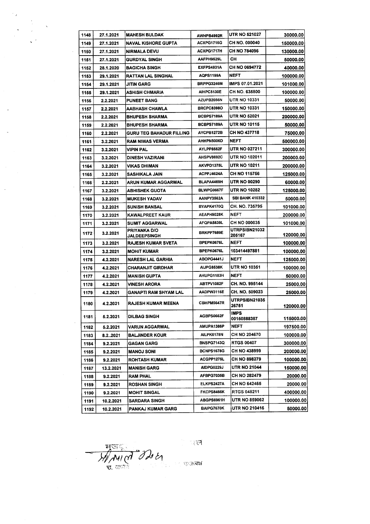| 1148 | 27.1.2021 | <b>MAHESH BULDAK</b>            | AWHPB4992R        | <b>UTR NO 521027</b>           | 30000.00  |
|------|-----------|---------------------------------|-------------------|--------------------------------|-----------|
| 1149 | 27.1.2021 | NAVAL KISHORE GUPTA             | ACXPG1716G        | CH NO. 000040                  | 150000.00 |
| 1150 | 27.1.2021 | <b>NIRMALA DEVU</b>             | ACXPG1717H        | <b>CH NO 784096</b>            | 130000.00 |
| 1151 | 27.1.2021 | <b>GURDYAL SINGH</b>            | AAFPH9529L        | CН                             | 50000.00  |
| 1152 | 28.1.2020 | <b>BAGICHA SINGH</b>            | EXFPS4931A        | CH NO 0694772                  | 40000.00  |
| 1153 | 29.1.2021 | RATTAN LAL SINGHAL              | AQPS1199A         | NEFT                           | 100000.00 |
| 1154 | 29.1.2021 | JITIN GARG                      | BRPPG3246M        | <b>IMPS 07.01.2021</b>         | 101000.00 |
| 1155 | 29.1.2021 | ASHISH CHMARIA                  | AIHPC5130E        | CH NO. 635800                  | 100000.00 |
| 1156 | 2.2.2021  | <b>PUNEET BANG</b>              | AZUPB2056N        | <b>UTR NO 10331</b>            | 50000.00  |
| 1157 | 2.2.2021  | AABHASH CHAWLA                  | <b>BRCPC8398O</b> | <b>UTR NO 10331</b>            | 150000.00 |
| 1158 | 2.2.2021  | <b>BHUPESH SHARMA</b>           | BCBPS7189A        | <b>UTR NO 52021</b>            | 200000.00 |
| 1159 | 2.2.2021  | <b>BHUPESH SHARMA</b>           | BCBPS7189A        | <b>UTR NO 10115</b>            | 50000.00  |
| 1160 | 2.2.2021  | <b>GURU TEG BAHADUR FILLING</b> | AYCPB1272B        | CH NO 437718                   | 75000.00  |
| 1161 | 3.2.2021  | <b>RAM NIWAS VERMA</b>          | <b>AHHPN5006D</b> | <b>NEFT</b>                    | 500000.00 |
| 1162 | 3.2.2021  | VIPIN PAL                       | AYLPP8552F        | UTR NO 027211                  | 300000.00 |
| 1163 | 3.2.2021  | <b>DINESH VAZIRANI</b>          | AHSPV8692C        | <b>UTR NO 102011</b>           | 200000.00 |
| 1164 | 3.2.2021  | VIKAS DHIMAN                    | AKVPD1375L        | <b>UTR NO 10211</b>            | 200000.00 |
| 1165 | 3.2.2021  | <b>SASHIKALA JAIN</b>           | ACPPJ4624A        | CH NO 115756                   | 125000.00 |
| 1166 | 2.2.2021  | ARUN KUMAR AGGARWAL             | BLAPA4469H        | <b>UTR NO 00290</b>            | 60000.00  |
| 1167 | 3.2.2021  | ABHISHEK GUOTA                  | BLWPG0667F        | UTR NO 10282                   | 125000.00 |
| 1168 | 3.2.2021  | <b>MUKESH YADAV</b>             | AANPY3562A        | <b>SBI BANK 410332</b>         | 50000.00  |
| 1169 | 3.2.2021  | <b>SUNISH BANSAL</b>            | BYAPK4170Q        | CH. NO. 735795                 | 101000.00 |
| 1170 | 3.2.2021  | KAWALPREET KAUR                 | AEAPH9028K        | <b>NEFT</b>                    | 200000.00 |
| 1171 | 3.2.2021  | <b>SUMIT AGGARWAL</b>           | AFQPA5839L        | <b>CH NO 000035</b>            | 101000.00 |
| 1172 | 3.2.2021  | PRIYANKA D/O<br>JALDEEPSINGH    | BRKPP7689E        | <b>UTRPSIBN21032</b><br>205167 | 120000.00 |
| 1173 | 3.2.2021  | <b>RAJESH KUMAR SVETA</b>       | BPEPK0676L        | <b>NEFT</b>                    | 100000.00 |
| 1174 | 3.2.2021  | <b>MOHIT KUMAR</b>              | BPEPK0676L        | 103414497881                   | 100000.00 |
| 1175 | 4.2.2021  | <b>NARESH LAL GARHIA</b>        | ABOPG4441J        | <b>NEFT</b>                    | 125000.00 |
| 1176 | 4.2.2021  | <b>CHARANJIT GIRDHAR</b>        | AIJPG8538K        | UTR NO 10351                   | 100000.00 |
| 1177 | 4.2.2021  | <b>MANISH GUPTA</b>             | AHUPG1183H        | NEFT                           | 50000.00  |
| 1178 | 4.2.2021  | VINESH ARORA                    | ABTPV1082F        | CH. NO. 995144                 | 25000.00  |
| 1179 | 4.2.2021  | GANAPTI RAM SHYAM LAL           | AADPW3116E        | CH. NO. 509023                 | 25000.00  |
| 1180 | 4.2.2021  | <b>RAJESH KUMAR MEENA</b>       | CBHPM5647R        | UTRPSIBN21035<br>26751         | 120000.00 |
| 1181 | 5.2.2021  | <b>DILBAG SINGH</b>             | AGBPS0662F        | <b>IMPS</b><br>00150888387     | 115000.00 |
| 1182 | 5.2.2021  | VARUN AGGARWAL                  | AMUPA1386P        | <b>NEFT</b>                    | 197500.00 |
| 1183 | 8.22021   | <b>BALJINDER KOUR</b>           | AILPK6178N        | <b>CH NO 204670</b>            | 100000.00 |
| 1184 | 9.2.2021  | GAGAN GARG                      | <b>BNSPG7143Q</b> | <b>RTGS 00407</b>              | 300000.00 |
| 1185 | 9.2.2021  | MANOJ SONI                      | <b>BCNPS1678G</b> | CH NO 438999                   | 200000.00 |
| 1186 | 9.2.2021  | <b>ROHTASH KUMAR</b>            | ACGPP1275L        | CH NO 898279                   | 100000.00 |
| 1187 | 13.2.2021 | MANISH GARG                     | AIDPG0229J        | UTR NO 21044                   | 150000.00 |
| 1188 | 9.2.2021  | RAM PHAL                        | AFBPG7035B        | CH NO 282479                   | 20000.00  |
| 1189 | 9.2.2021  | <b>ROSHAN SINGH</b>             | ELKPS2427A        | <b>CH NO 642465</b>            | 20000.00  |
| 1190 | 9.2.2021  | <b>MOHIT SINGAL</b>             | FKCPS8466K        | <b>RTGS 048211</b>             | 400000.00 |
| 1191 | 10.2.2021 | <b>SARDARA SINGH</b>            | ABGPS6961H        | UTR NO 859062                  | 100000.00 |
| 1192 | 10.2.2021 | PANKAJ KUMAR GARG               | BAIPG7670K        | UTR NO 210416                  | 50000.00  |

MANICO DO EL 1 35575355

 $\ddot{\phantom{1}}$ 

ाल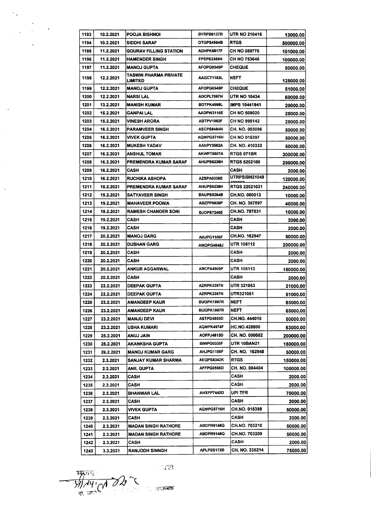| 1193 | 10.2.2021 | <b>POOJA BISHNOI</b>                    | BYRPB8137R        | <b>UTR NO 210416</b> | 13000.00  |
|------|-----------|-----------------------------------------|-------------------|----------------------|-----------|
| 1194 | 10.2.2021 | SIDDHI SARAF                            | OTGPS4564B        | <b>RTGS</b>          | 500000.00 |
| 1195 | 11.2.2021 | GOURAV FILLING STATION                  | ADHPK8817F        | <b>CH NO 089776</b>  | 101000.00 |
| 1196 | 11.2.2021 | <b>HAMENDER SINGH</b>                   | FPEPS2389N        | CH NO 753648         | 100000.00 |
| 1197 | 11.2.2021 | <b>MANOJ GUPTA</b>                      | AFOPG0345P        | CHEQUE               | 50000.00  |
| 1198 | 12.2.2021 | TASWIN PHARMA PRIVATE<br><b>LIMITED</b> | AAGCT1153L        | <b>NEFT</b>          | 125000.00 |
| 1199 | 12.2.2021 | <b>MANOJ GUPTA</b>                      | AFOPG0345P        | CHEQUE               | 51000.00  |
| 1200 | 12.2.2021 | <b>NARSI LAL</b>                        | <b>ADCPL7097H</b> | <b>UTR NO 10434</b>  | 60000.00  |
| 1201 | 13.2.2021 | <b>MANISH KUMAR</b>                     | BDTPK4998L        | <b>IMPS 10441941</b> | 20000.00  |
| 1202 | 15.2.2021 | GANPAI LAL                              | AADPW3116E        | CH NO 509020         | 25000.00  |
| 1203 | 15.2.2021 | <b>VINESH ARORA</b>                     | ABTPV1082F        | CH NO 995142         | 25000.00  |
| 1204 | 16.2.2021 | <b>PARAMVEER SINGH</b>                  | ASCPS8484N        | CH. NO. 003096       | 50000.00  |
| 1205 | 16.2.2021 | <b>VIVEK GUPTA</b>                      | AQMPG5716H        | CH NO 015397         | 50000.00  |
| 1206 | 16.2.2021 | <b>MUKESH YADAV</b>                     | AANPY3562A        | CH. NO. 410333       | 50000.00  |
| 1207 | 16.2.2021 | <b>ANSHUL TOMAR</b>                     | AKWPT8807A        | <b>RTGS 071BR</b>    | 300000.00 |
| 1208 | 16.2.2021 | PREMENDRA KUMAR SARAF                   | <b>AHUPS6238H</b> | <b>RTGS 5202100</b>  | 250000.00 |
| 1209 | 16.2.2021 | CASH                                    |                   | CASH                 | 2000.00   |
| 1210 | 16.2.2021 | <b>RUCHIKA ASHOPA</b>                   | AZSPA0338E        | <b>UTRPSIBN21049</b> | 120000.00 |
| 1211 | 18.2.2021 | PREMENDRA KUMAR SARAF                   | <b>AHUPS6238H</b> | RTGS 22021021        | 240000.00 |
| 1212 | 19.2.2021 | <b>SATYAVEER SINGH</b>                  | BAUPS5264B        | CH.NO. 000013        | 10000.00  |
| 1213 | 19.2.2021 | <b>MAHAVEER POONIA</b>                  | ABZPP6939P        | CH. NO. 357897       | 40000.00  |
| 1214 | 19.2.2021 | <b>RAMESH CHANDER SONI</b>              | <b>BJOPS7240E</b> | CH.NO. 787831        | 10000.00  |
| 1215 | 19.2.2021 | CASH                                    |                   | CASH                 | 2000.00   |
| 1216 | 19.2.2021 | CASH                                    |                   | CASH                 | 2000.00   |
| 1217 | 20.2.2021 | <b>MANOJ GARG</b>                       | AHJPG1106F        | CH.NO. 162947        | 50000.00  |
| 1218 | 20.2.2021 | DUSHAN GARG                             | AMOPG4648J        | UTR 105112           | 200000.00 |
| 1219 | 20.2.2021 | CASH                                    |                   | CASH                 | 2000.00   |
| 1220 | 20.2.2021 | CASH                                    |                   | CASH                 | 2000.00   |
| 1221 | 20.2.2021 | <b>ANKUR AGGARWAL</b>                   | ARCPA4909P        | <b>UTR 105113</b>    | 150000.00 |
| 1222 | 20.2.2021 | CASH                                    |                   | CASH                 | 2000.00   |
| 1223 | 22.2.2021 | DEEPAK GUPTA                            | AZRPK2397N        | <b>UTR 321053</b>    | 21000.00  |
| 1224 | 22.2.2021 | <b>DEEPAK GUPTA</b>                     | AZRPK2397N        | UTR321051            | 51000.00  |
| 1225 | 23.2.2021 | <b>AMANDEEP KAUR</b>                    | BUGPK1997R        | <b>NEFT</b>          | 85000.00  |
| 1226 | 23.2.2021 | <b>AMANDEEP KAUR</b>                    | BUGPK1997R        | <b>NEFT</b>          | 65000.00  |
| 1227 | 23.2.2021 | MANJU DEVI                              | ASTPD4855D        | CH.NO. 444015        | 50000.00  |
| 1228 | 23.2.2021 | USHA KUMARI                             | AQMPK4974F        | <b>HC.NO.428800</b>  | 63000.00  |
| 1229 | 25.2.2021 | <b>ANUJ JAIN</b>                        | AOFPJ4813D        | CH. NO. 000052       | 200000.00 |
| 1230 | 25.2.2021 | AKANKSHA GUPTA                          | BIWPG0335F        | UTR 10BAN21          | 150000.00 |
| 1231 | 26.2.2021 | <b>MANOJ KUMAR GARG</b>                 | AHJPG1106F        | CH. NO. 162948       | 50000.00  |
| 1232 | 2.3.2021  | SANJAY KUMAR SHARMA                     | AEQPS8342K        | <b>RTGS</b>          | 150000.00 |
| 1233 | 2.3.2021  | ANIL GUPTA                              | AFFPG0598D        | CH. NO. 004404       | 100000.00 |
| 1234 | 2.3.2021  | CASH                                    |                   | CASH                 | 2000.00   |
| 1235 | 2.3.2021  | CASH                                    |                   | CASH                 | 2000.00   |
| 1236 | 2.3.2021  | BHANWAR LAL                             | AHXPP7440D        | UPI TFR              | 70000.00  |
| 1237 | 2.3.2021  | CASH                                    |                   | CASH                 | 2000.00   |
| 1238 | 2.3.2021  | VIVEK GUPTA                             | AQMPG5716H        | CH.NO. 015398        | 50000.00  |
|      |           | CASH                                    |                   | CASH                 | 2000.00   |
| 1239 | 2.3.2021  |                                         | ABDPR9148Q        | CH.NO. 703210        |           |
| 1240 | 2.3.2021  | <b>MADAN SINGH RATHORE</b>              | ABDPR9148Q        | <b>CH.NO. 703209</b> | 50000.00  |
| 1241 | 2.3.2021  | <b>MADAN SINGH RATHORE</b><br>CASH      |                   | CASH                 | 50000.00  |
| 1242 | 2.3.2021  |                                         | APLPSS172B        | CH. NO. 335214       | 2000.00   |
| 1243 | 3.3.2021  | <b>RANJODH SINNGH</b>                   |                   |                      | 75000.00  |

 $\frac{1}{\sqrt{1-x^2}}$ 

 $\mathcal{F}_{\mathbf{z}}$ 

 $\overline{\phantom{a}}$ 

 $\overline{\phantom{a}}$ 

 $\overline{\mathbb{G}_F}$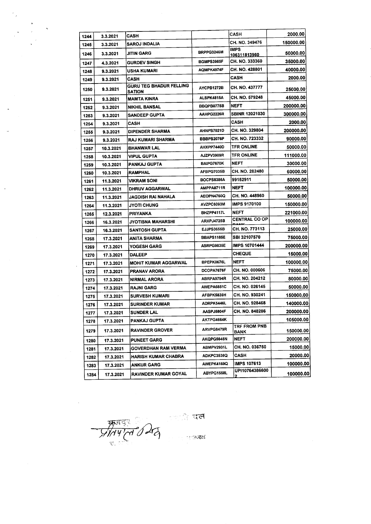| 1244 | 3.3.2021  | CASH                                     |                   | CASH                               | 2000.00   |
|------|-----------|------------------------------------------|-------------------|------------------------------------|-----------|
| 1245 | 3.3.2021  | SAROJ INDALIA                            |                   | CH. NO. 349476                     | 150000.00 |
| 1246 | 3.3.2021  | JITIN GARG                               | BRPPG3246M        | <b>IMPS</b><br><u>106311813960</u> | 50000.00  |
| 1247 | 4.3.2021  | <b>GURDEV SINGH</b>                      | BGMPS3985F        | CH. NO. 333360                     | 35000.00  |
| 1248 | 9.3.2021  | USHA KUMARI                              | AQMPK4974F        | CH. NO. 428801                     | 40000.00  |
| 1249 | 9.3.2021  | CASH                                     |                   | CASH                               | 2000.00   |
| 1250 | 9.3.2021  | GURU TEG BHADUR FELLING<br><b>SATION</b> | AYCPB1272B        | CH. NO. 437777                     | 25000.00  |
| 1251 | 9.3.2021  | MAMTA KINRA                              | ALSPK4815A        | CH. NO. 579248                     | 45000.00  |
| 1252 | 9.3.2021  | <b>NIKHIL BANSAL</b>                     | BBQPB0775B        | NEFT                               | 200000.00 |
| 1253 | 9.3.2021  | <b>SANDEEP GUPTA</b>                     | AAHPG2226R        | <b>SBINR 12021030</b>              | 300000.00 |
| 1254 | 9.3.2021  | CASH                                     |                   | CASH                               | 2000.00   |
| 1255 | 9.3.2021  | DIPENDER SHARMA                          | <b>AHNPS7021D</b> | CH. NO. 329804                     | 200000.00 |
| 1256 | 9.3.2021  | RAJ KUMARI SHARMA                        | BBBPS2076P        | CH. NO. 723332                     | 90000.00  |
| 1257 | 10.3.2021 | <b>BHANWAR LAL</b>                       | AHXPP7440D        | <b>TFR ONLINE</b>                  | 50000.00  |
| 1258 | 10.3.2021 | <b>VIPUL GUPTA</b>                       | AJZPV3909R        | <b>TFR ONLINE</b>                  | 111000.00 |
| 1259 | 10.3.2021 | PANKAJ GUPTA                             | BAIPG7670K        | <b>NEFT</b>                        | 30000.00  |
| 1260 | 10.3.2021 | RAMPHAL                                  | AFBPG7035B        | CH. NO. 282480                     | 60000.00  |
| 1261 | 11.3.2021 | VIKRAM SONI                              | BOCPS8386A        | 99152911                           | 50000.00  |
| 1262 | 11.3.2021 | <b>DHRUV AGGARWAL</b>                    | AMPPA8711R        | <b>NEFT</b>                        | 100000.00 |
| 1263 | 11.3.2021 | JAGDISH RAI NAHALA                       | AEOPN4760Q        | CH. NO. 448960                     | 50000.00  |
| 1264 | 11.3.2021 | <b>JYOTI CHUNG</b>                       | AVZPC6093M        | <b>IMPS 9170100</b>                | 150000.00 |
| 1265 | 12.3.2021 | PRIYANKA                                 | BHZPP4117L        | NEFT                               | 221000.00 |
| 1266 | 16.3.2021 | JYOTISNA MAHARSHI                        | ARXPJ4725B        | <b>CENTRAL CO OP</b>               | 100000.00 |
| 1267 | 16.3.2021 | <b>SANTOSH GUPTA</b>                     | <b>EJJPS3655B</b> | CH. NO. 773113                     | 25000.00  |
| 1268 | 17.3.2021 | <b>ANITA SHARMA</b>                      | BBAPS1185E        | <b>SBI 32107570</b>                | 75000.00  |
| 1269 | 17.3.2021 | <b>YOGESH GARG</b>                       | <b>ASRPG9835E</b> | IMPS 10701444                      | 200000.00 |
| 1270 | 17.3.2021 | <b>DALEEP</b>                            |                   | <b>CHEQUE</b>                      | 15000.00  |
| 1271 | 17.3.2021 | <b>MOHIT KUMAR AGGARWAL</b>              | BPEPK0676L        | <b>NEFT</b>                        | 100000.00 |
| 1272 | 17.3.2021 | <b>PRANAV ARORA</b>                      | DCOPA7676F        | CH. NO. 000606                     | 75000.00  |
| 1273 | 17.3.2021 | <b>NIRMAL ARORA</b>                      | ABRPA9794R        | CH. NO. 204212                     | 80000.00  |
| 1274 | 17.3.2021 | RAJNI GARG                               | AWEPA6851C        | CH. NO. 026145                     | 50000.00  |
| 1275 | 17.3.2021 | <b>SURVESH KUMARI</b>                    | AFBPK5839H        | CH. NO. 930241                     | 150000.00 |
| 1276 | 17.3.2021 | <b>SURINDER KUMAR</b>                    | ADRPK5446L        | CH. NO. 928468                     | 140000.00 |
| 1277 | 17.3.2021 | <b>SUNDER LAL</b>                        | AASPJ5804F        | CH. NO. 848286                     | 200000.00 |
| 1278 | 17.3.2021 | PANKAJ GUPTA                             | AKTPG4664K        |                                    | 105000.00 |
| 1279 | 17.3.2021 | <b>RAVINDER GROVER</b>                   | ARVPG8479R        | TRF FROM PNB<br>BANK               | 150000.00 |
| 1280 | 17.3.2021 | <b>PUNEET GARG</b>                       | AKQPG5646N        | <b>NEFT</b>                        | 200000.00 |
| 1281 | 17.3.2021 | <b>GOVERDHAN RAM VERMA</b>               | ABMPV2931L        | CH. NO. 036750                     | 15000.00  |
| 1282 | 17.3.2021 | <b>HARISH KUMAR CHABRA</b>               | ADKPC3538Q        | CASH                               | 20000.00  |
| 1283 | 17.3.2021 | <b>ANKUR GARG</b>                        | AWEPK4169Q        | <b>IMPS 107613</b>                 | 100000.00 |
| 1284 | 17.3.2021 | <b>RAVINDER KUMAR GOYAL</b>              | ABYPG1558L        | UPI10764386600                     | 100000.00 |

 $-57797022020$ 

 $\frac{1}{\sqrt{2}}$ 

 $\sim$ 

 $\bar{\beta}$ 

 $\hat{\boldsymbol{\beta}}$ 

াজী বিশ্ব

**REALT**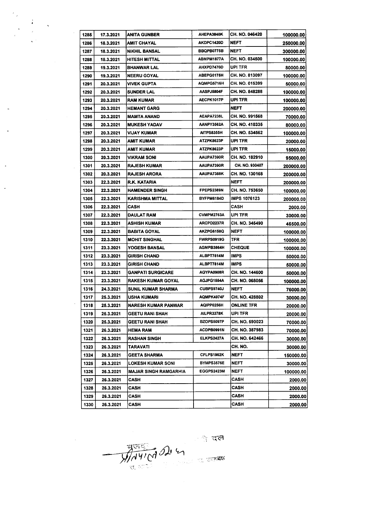|  |  | 1285 | 17.3.2021 | <b>ANITA GUNBER</b>          | AHEPA3840K        | CH. NO. 046420      | 100000.00 |
|--|--|------|-----------|------------------------------|-------------------|---------------------|-----------|
|  |  | 1286 | 18.3.2021 | <b>AMIT CHAYAL</b>           | AKDPC1420D        | <b>NEFT</b>         | 250000.00 |
|  |  | 1287 | 18.3.2021 | NIKHIL BANSAL                | BBQPB0775B        | <b>NEFT</b>         | 300000.00 |
|  |  | 1288 | 18.3.2021 | HITESH MITTAL                | ABMPM1877A        | CH. NO. 034500      | 100000.00 |
|  |  | 1289 | 19.3.2021 | <b>BHANWAR LAL</b>           | AHXPD7470D        | UPI TFR             | 80000.00  |
|  |  | 1290 | 19.3.2021 | <b>NEERU GOYAL</b>           | ABEPG0175H        | CH. NO. 813097      | 100000.00 |
|  |  | 1291 | 20.3.2021 | <b>VIVEK GUPTA</b>           | AQMPG5716H        | CH. NO. 015399      | 50000.00  |
|  |  | 1292 | 20.3.2021 | <b>SUNDER LAL</b>            | AASPJ5804F        | CH. NO. 848288      | 100000.00 |
|  |  | 1293 | 20.3.2021 | RAM KUMAR                    | <b>AECPK1017P</b> | UPI TFR             | 100000.00 |
|  |  | 1294 | 20.3.2021 | HEMANT GARG                  |                   | <b>NEFT</b>         | 200000.00 |
|  |  | 1295 | 20.3.2021 | <b>MAMTA ANAND</b>           | AEAPA7238L        | CH. NO. 991568      | 70000.00  |
|  |  | 1296 | 20.3.2021 | <b>MUKESH YADAV</b>          | AANPY3562A        | CH. NO. 410335      | 80000.00  |
|  |  | 1297 | 20.3.2021 | <b>VIJAY KUMAR</b>           | AITPS8355H        | CH. NO. 534562      | 100000.00 |
|  |  | 1298 | 20.3.2021 | AMIT KUMAR                   | ATZPK8623P        | UPI TFR             | 20000.00  |
|  |  | 1299 | 20.3.2021 | AMIT KUMAR                   | ATZPK8623P        | UPI TFR             | 15000.00  |
|  |  | 1300 | 20.3.2021 | VIKRAM SONI                  | AAUPA7390R        | CH. NO. 182910      | 95000.00  |
|  |  | 1301 | 20.3.2021 | RAJESH KUMAR                 | AAUPA7390R        | CH. NO. 930407      | 200000.00 |
|  |  | 1302 | 20.3.2021 | <b>RAJESH ARORA</b>          | AAUPA7388K        | CH. NO. 130168      | 200000.00 |
|  |  | 1303 | 22.3.2021 | R.K. KATARIA                 |                   | <b>NEFT</b>         | 200000.00 |
|  |  | 1304 | 22.3.2021 | <b>HAMENDER SINGH</b>        | FPEPS2389N        | CH. NO. 753650      | 100000.00 |
|  |  | 1305 | 22.3.2021 | <b>KARISHMA MITTAL</b>       | BYFPM6184D        | <b>IMPS 1076123</b> | 200000.00 |
|  |  | 1306 | 22.3.2021 | CASH                         |                   | CASH                | 2000.00   |
|  |  | 1307 | 22.3.2021 | DAULAT RAM                   | CVMPM2763A        | UPI TFR             | 30000.00  |
|  |  | 1308 | 22.3.2021 | ASHISH KUMAR                 | ARCPD2237R        | CH. NO. 345490      | 46500.00  |
|  |  | 1309 | 22.3.2021 | <b>BABITA GOYAL</b>          | AKZPG6158Q        | <b>NEFT</b>         | 100000.00 |
|  |  | 1310 | 22.3.2021 | <b>MOHIT SINGHAL</b>         | <b>FWRPS0919G</b> | TFR                 | 100000.00 |
|  |  | 1311 | 23.3.2021 | YOGESH BANSAL                | AGMPB3864H        | <b>CHEQUE</b>       | 100000.00 |
|  |  | 1312 | 23.3.2021 | <b>GIRISH CHAND</b>          | ALBPT7814M        | <b>IMPS</b>         | 50000.00  |
|  |  | 1313 | 23.3.2021 | <b>GIRISH CHAND</b>          | ALBPT7814M        | <b>IMPS</b>         | 50000.00  |
|  |  | 1314 | 23.3.2021 | <b>GANPATI SURGICARE</b>     | AGYPA0908R        | CH. NO. 144600      | 50000.00  |
|  |  | 1315 | 23.3.2021 | <b>RAKESH KUMAR GOYAL</b>    | AGJPG1554A        | CH. NO. 068056      | 100000.00 |
|  |  | 1316 | 24.3.2021 | <b>SUNIL KUMAR SHARMA</b>    | <b>CUBPS9740J</b> | <b>NEFT</b>         | 76000.00  |
|  |  | 1317 | 25.3.2021 | USHA KUMARI                  | AQMPK4974F        | CH. NO. 428802      | 30000.00  |
|  |  | 1318 | 25.3.2021 | NARESH KUMAR PANWAR          | AQIPP0256H        | ONLINE TFR          | 20000.00  |
|  |  | 1319 | 25.3.2021 | <b>GEETU RANI SHAH</b>       | AILPR3378K        | UPI TFR             | 20000.00  |
|  |  | 1320 | 25.3.2021 | <b>GEETU RANI SHAH</b>       | <b>BZOPS5097P</b> | CH. NO. 590023      | 70000.00  |
|  |  | 1321 | 26.3.2021 | HEMA RAM                     | ACDPB0991N        | CH. NO. 387983      | 70000.00  |
|  |  | 1322 | 26.3.2021 | <b>RASHAN SINGH</b>          | ELKPS2427A        | CH. NO. 642466      | 30000.00  |
|  |  | 1323 | 26.3.2021 | TARAVATI                     |                   | CH. NO.             | 30000.00  |
|  |  | 1324 | 26.3.2021 | <b>GEETA SHARMA</b>          | CFLPS1962K        | <b>NEFT</b>         | 150000.00 |
|  |  | 1325 | 26.3.2021 | <b>LOKESH KUMAR SONI</b>     | BYMPS3576E        | <b>NEFT</b>         | 30000.00  |
|  |  | 1326 | 26.3.2021 | <b>MAJAR SINGH RAMGARHIA</b> | EGGPS2423M        | <b>NEFT</b>         | 100000.00 |
|  |  | 1327 | 26.3.2021 | CASH                         |                   | CASH                | 2000.00   |
|  |  | 1328 | 26.3.2021 | CASH                         |                   | CASH                | 2000.00   |
|  |  | 1329 | 26.3.2021 | CASH                         |                   | <b>CASH</b>         | 2000.00   |
|  |  | 1330 | 26.3.2021 | CASH                         |                   | CASH                | 2000.00   |

 $\ddot{\phantom{1}}$ 

J.

 $\bar{\beta}$ 

 $\frac{1}{\sqrt{10^{41} (1)}}$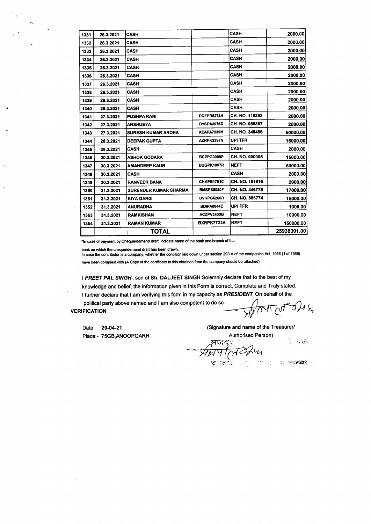| 1331 | 26.3.2021 | CASH                         |            | CASH           | 2000.00     |
|------|-----------|------------------------------|------------|----------------|-------------|
| 1332 | 26.3.2021 | <b>CASH</b>                  |            | <b>CASH</b>    | 2000.00     |
| 1333 | 26.3.2021 | <b>CASH</b>                  |            | <b>CASH</b>    | 2000.00     |
| 1334 | 26.3.2021 | <b>CASH</b>                  |            | CASH           | 2000.00     |
| 1335 | 26.3.2021 | <b>CASH</b>                  |            | <b>CASH</b>    | 2000.00     |
| 1336 | 26.3.2021 | CASH                         |            | <b>CASH</b>    | 2000.00     |
| 1337 | 26.3.2021 | <b>CASH</b>                  |            | CASH           | 2000.00     |
| 1338 | 26.3.2021 | <b>CASH</b>                  |            | <b>CASH</b>    | 2000.00     |
| 1339 | 26.3.2021 | <b>CASH</b>                  |            | CASH           | 2000.00     |
| 1340 | 26.3.2021 | <b>CASH</b>                  |            | CASH           | 2000.00     |
| 1341 | 27.3.2021 | <b>PUSHPA RANI</b>           | DCFPR5274H | CH. NO. 118393 | 2000.00     |
| 1342 | 27.3.2021 | <b>ANSHUEYA</b>              | BYSPA2976D | CH. NO. 058867 | 2000.00     |
| 1343 | 27.3.2021 | <b>SURESH KUMAR ARORA</b>    | AEAPA7239M | CH. NO. 348486 | 50000.00    |
| 1344 | 28.3.2021 | <b>DEEPAK GUPTA</b>          | AZRPK2397N | UPI TFR        | 15000.00    |
| 1345 | 28.3.2021 | <b>CASH</b>                  |            | CASH           | 2000.00     |
| 1346 | 30.3.2021 | <b>ASHOK GODARA</b>          | BCZPG0099P | CH. NO. 000005 | 15000.00    |
| 1347 | 30.3.2021 | <b>AMANDEEP KAUR</b>         | BUGPK1997R | <b>NEFT</b>    | 50000.00    |
| 1348 | 30.3.2021 | <b>CASH</b>                  |            | <b>CASH</b>    | 2000.00     |
| 1349 | 30.3.2021 | <b>RANVEER BANA</b>          | CHKPB1791C | CH. NO. 161816 | 2000.00     |
| 1350 | 31.3.2021 | <b>SURENDER KUMAR SHARMA</b> | BMSPS8080F | CH. NO. 446778 | 17000.00    |
| 1351 | 31.3.2021 | <b>RIYA GARG</b>             | BVRPG5266R | CH. NO. 886774 | 15000.00    |
| 1352 | 31.3.2021 | <b>ANURADHA</b>              | BDIPA8844E | UPI TFR        | 1000.00     |
| 1353 | 31.3.2021 | <b>RAMKISHAN</b>             | ACZPV3400G | <b>NEFT</b>    | 10000.00    |
| 1354 | 31.3.2021 | <b>RAMAN KUMAR</b>           | BXRPK7722A | <b>NEFT</b>    | 150000.00   |
|      |           | TOTAL                        |            |                | 25938301.00 |

\*In case of payment by Cheque/demand draft, indicate name of the bank and branch of tha

bank on which the cheque/demand draft has been drawn.

tn case the contributor is a company, whether the condition laid down under section 293 A of the companies Act, 1956 (1 of 1956) have been complied with (A Copy of the certificate to this obtained from the company should be attached)

I *PREET PAL SINGH,* son of Sh. DALJEET SINGH Solemnly declare that to the best of my knowledge and belief, the information given in this Form is correct, Complete and Truly stated, I further declare that I am verifying this form in my capacity as *PRESIDENT* On behalf of the political party above named and I am also competent to do so. political party above named and I am also competent to do so.<br>VERIFICATION  $V_{\mathcal{A}}$ 

Date: 29-04-21 Place:- 75GB,ANOOPGARH (Signature and name of the Treasurerl Authorised Person)

लज<sub>ू</sub>ः

ी यस

*#);lq f(ri~~ ,{), '}~,c~:!i*

"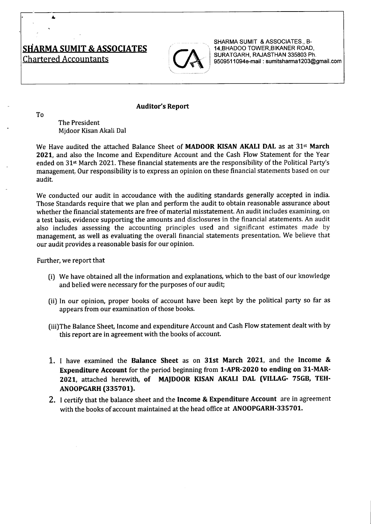# SHARMA SUMIT & ASSOCIATES  $\bigcap$

r--'------------------------------------------,



SHARMA SUMIT & ASSOCIATES., B-14,BHADOO TOWER,BIKANER ROAD, SURATGARH, RAJASTHAN 335803 Ph. 9509511094e-mail: sumitsharma1203@gmail.com

#### Auditor's Report

To

The President Mjdoor Kisan Akali Dal

We Have audited the attached Balance Sheet of **MADOOR KISAN AKALI DAL** as at 31<sup>st</sup> March 2021, and also the Income and Expenditure Account and the Cash Flow Statement for the Year ended on 31st March 2021. These financial statements are the responsibility of the Political Party's management. Our responsibility is to express an opinion on these financial statements based on our audit.

We conducted our audit in accoudance with the auditing standards generally accepted in india. Those Standards require that we plan and perform the audit to obtain reasonable assurance about whether the financial statements are free of material misstatement. An audit includes examining, on a test basis, evidence supporting the amounts and disclosures in the financial atatements. An audit also includes assessing the accounting principles used and significant estimates made by management, as well as evaluating the overall financial statements presentation. We believe that our audit provides a reasonable basis for our opinion.

Further, we report that

- (i) We have obtained all the information and explanations, which to the bast of our knowledge and belied were necessary for the purposes of our audit;
- (ii) In our opinion, proper books of account have been kept by the political party so far as appears from our examination of those books.
- (iii)The Balance Sheet, Income and expenditure Account and Cash Flow statement dealt with by this report are in agreement with the books of account.
- 1. I have examined the Balance Sheet as on 31st March 2021, and the Income & Expenditure Account for the period beginning from l-APR-2020 to ending on 31-MAR-2021, attached herewith, of MA}DOOR KISAN AKALI DAL (VILLAG- 75GB, TEH-ANOOPGARH(335701).
- 2. I certify that the balance sheet and the Income & Expenditure Account are in agreement with the books of account maintained at the head office at ANOOPGARH-335701.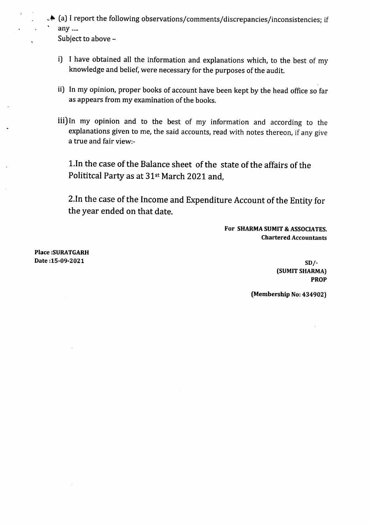~~ (a) I report the following observationsjcommentsjdiscrepanciesjinconsistencies; if any .... Subject to above -

i) I have obtained all the information and explanations which, to the best of my knowledge and belief, were necessary for the purposes of the audit.

- ii) In my opinion, proper books of account have been kept by the head office so far as appears from my examination of the books.
- iii) In my opinion and to the best of my information and according to the explanations given to me, the said accounts, read with notes thereon, if any give a true and fair view:-

1.In the case of the Balance sheet of the state of the affairs of the Polititcal Party as at 31st March 2021 and,

2. In the case of the Income and Expenditure Account of the Entity for the year ended on that date.

> For SHARMA SUMIT & ASSOCIATES. Chartered Accountants

Place :SURATGARH  $Date: 15-09-2021$   $SD/-.$ 

(5UMIT SHARMA) PROP

(Membership No:434902)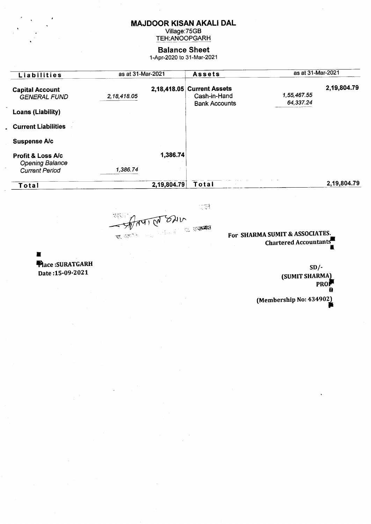### **MAJDOOR KISAN AKALI DAL**

Village: 75GB<br>TEH: ANOOPGARH

#### **Balance Sheet**

1-Apr-2020 to 31-Mar-2021

| Liabilities                                                                     | as at 31-Mar-2021 |             | <b>Assets</b>                                                      | as at 31-Mar-2021        |             |
|---------------------------------------------------------------------------------|-------------------|-------------|--------------------------------------------------------------------|--------------------------|-------------|
| <b>Capital Account</b><br><b>GENERAL FUND</b>                                   | 2,18,418.05       |             | 2,18,418.05 Current Assets<br>Cash-in-Hand<br><b>Bank Accounts</b> | 1,55,467.55<br>64,337.24 | 2,19,804.79 |
| <b>Loans (Liability)</b>                                                        |                   |             |                                                                    |                          |             |
| <b>Current Liabilities</b>                                                      |                   |             |                                                                    |                          |             |
| <b>Suspense A/c</b>                                                             |                   |             |                                                                    |                          |             |
| <b>Profit &amp; Loss A/c</b><br><b>Opening Balance</b><br><b>Current Period</b> | 1,386.74          | 1,386.74    |                                                                    |                          |             |
| Total                                                                           |                   | 2,19,804.79 | Total                                                              |                          | 2,19,804.79 |

 $\mathbb{Z}^{\infty}_{\infty}$ Apart Ch SHR ः स**मस्वा**ध रा, अध्यक्ष

For SHARMA SUMIT & ASSOCIATES. Chartered Accountants

 $\blacksquare$ Place:SURATGARH Date: 15-09-2021

 $SD/-$ (SUMIT SHARMA) **PRO** (Membership No: 434902)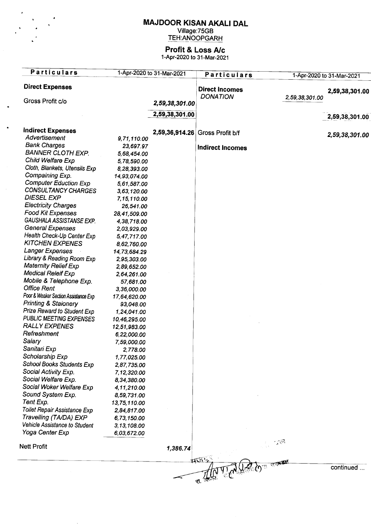# **MAJDOOR KISAN AKALI DAL**

Village:75Gl TEH:ANOOPGARH

# **Profit & Loss Ale**

1-Apr-2020 to 31-Mar-2021

| <b>Particulars</b>                   |               | 1-Apr-2020 to 31-Mar-2021 | <b>Particulars</b>              |                          | 1-Apr-2020 to 31-Mar-2021 |
|--------------------------------------|---------------|---------------------------|---------------------------------|--------------------------|---------------------------|
| <b>Direct Expenses</b>               |               |                           | <b>Direct Incomes</b>           |                          | 2,59,38,301.00            |
| Gross Profit c/o                     |               |                           | <b>DONATION</b>                 | 2,59,38,301.00           |                           |
|                                      |               | 2,59,38,301.00            |                                 |                          |                           |
|                                      |               | 2,59,38,301.00            |                                 |                          | 2,59,38,301.00            |
| <b>Indirect Expenses</b>             |               |                           | 2,59,36,914.26 Gross Profit b/f |                          |                           |
| Advertisement                        | 9,71,110.00   |                           |                                 |                          | 2,59,38,301.00            |
| <b>Bank Charges</b>                  | 23,697.97     |                           | <b>Indirect Incomes</b>         |                          |                           |
| <b>BANNER CLOTH EXP.</b>             | 5,68,454.00   |                           |                                 |                          |                           |
| Child Welfare Exp                    | 5,78,590.00   |                           |                                 |                          |                           |
| Cloth, Blankets, Utensils Exp        | 8,28,393.00   |                           |                                 |                          |                           |
| Compaining Exp.                      | 14,93,074.00  |                           |                                 |                          |                           |
| <b>Computer Eduction Exp</b>         | 5,61,587.00   |                           |                                 |                          |                           |
| <b>CONSULTANCY CHARGES</b>           | 3,63,120.00   |                           |                                 |                          |                           |
| <b>DIESEL EXP</b>                    | 7, 15, 110.00 |                           |                                 |                          |                           |
| <b>Electricity Charges</b>           | 26,541.00     |                           |                                 |                          |                           |
| <b>Food Kit Expenses</b>             | 28,41,509.00  |                           |                                 |                          |                           |
| GAUSHALA ASSISTANSE EXP.             | 4,38,718.00   |                           |                                 |                          |                           |
| <b>General Expenses</b>              | 2,03,929.00   |                           |                                 |                          |                           |
| Health Check-Up Center Exp           | 5,47,717.00   |                           |                                 |                          |                           |
| <b>KITCHEN EXPENES</b>               | 8,62,760.00   |                           |                                 |                          |                           |
| Langer Expenses                      | 14,73,684.29  |                           |                                 |                          |                           |
| Library & Reading Room Exp           | 2,95,303.00   |                           |                                 |                          |                           |
| <b>Maternity Relief Exp</b>          | 2,89,652.00   |                           |                                 |                          |                           |
| <b>Medical Releif Exp</b>            | 2,64,261.00   |                           |                                 |                          |                           |
| Mobile & Telephone Exp.              | 57,681.00     |                           |                                 |                          |                           |
| <b>Office Rent</b>                   | 3,36,000.00   |                           |                                 |                          |                           |
| Poor & Weaker Section Assistance Exp | 17,64,620.00  |                           |                                 |                          |                           |
| <b>Printing &amp; Staionery</b>      | 93,048.00     |                           |                                 |                          |                           |
| Prize Reward to Student Exp          | 1,24,041.00   |                           |                                 |                          |                           |
| PUBLIC MEETING EXPENSES              | 10,46,295.00  |                           |                                 |                          |                           |
| <b>RALLY EXPENES</b>                 | 12,51,983.00  |                           |                                 |                          |                           |
| Refreshment                          | 6,22,000.00   |                           |                                 |                          |                           |
| Salary                               | 7,59,000.00   |                           |                                 |                          |                           |
| Sanitari Exp                         | 2,778.00      |                           |                                 |                          |                           |
| Scholarship Exp                      | 1,77,025.00   |                           |                                 |                          |                           |
| <b>School Books Students Exp</b>     | 2,87,735.00   |                           |                                 |                          |                           |
| Social Activity Exp.                 | 7,12,320.00   |                           |                                 |                          |                           |
| Social Welfare Exp.                  | 8,34,380.00   |                           |                                 |                          |                           |
| Social Woker Welfare Exp             | 4,11,210.00   |                           |                                 |                          |                           |
| Sound System Exp.                    | 8,59,731.00   |                           |                                 |                          |                           |
| Tent Exp.                            | 13,75,110.00  |                           |                                 |                          |                           |
| Toilet Repair Assistance Exp         | 2,84,817.00   |                           |                                 |                          |                           |
| Travelling (TA/DA) EXP               | 6,73,150.00   |                           |                                 |                          |                           |
| Vehicle Assistance to Student        | 3, 13, 108.00 |                           |                                 |                          |                           |
| Yoga Center Exp                      | 6,03,672.00   |                           |                                 |                          |                           |
| <b>Nett Profit</b>                   |               | 1,386.74                  |                                 | ුකි                      |                           |
|                                      |               |                           |                                 |                          |                           |
|                                      |               |                           |                                 | $\overline{\mathcal{C}}$ | continued                 |
|                                      |               |                           |                                 |                          |                           |
|                                      |               |                           | ক্য, <sup>'ইই</sup>             |                          |                           |